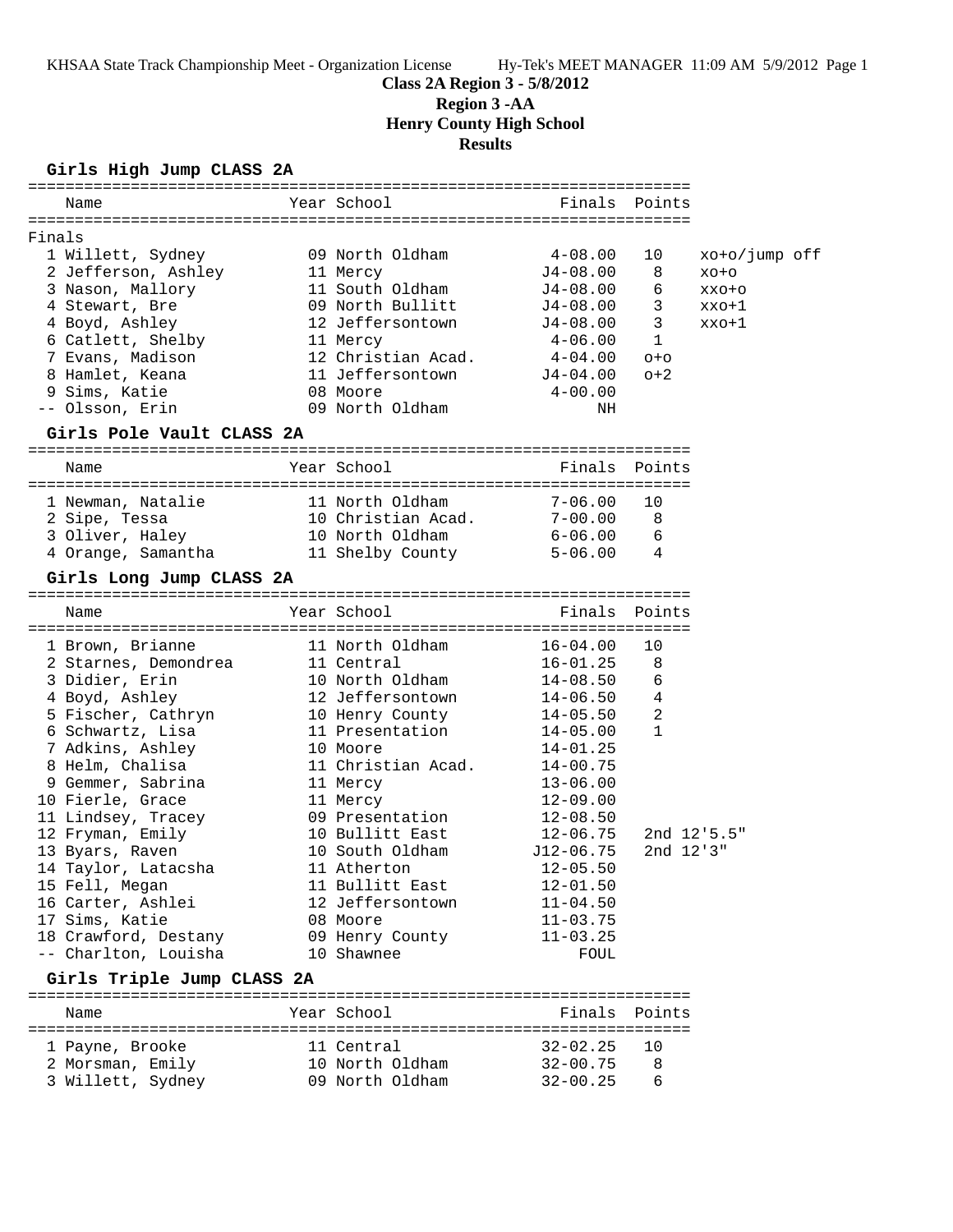## **Class 2A Region 3 - 5/8/2012**

**Region 3 -AA**

**Henry County High School**

**Results**

## **Girls High Jump CLASS 2A**

|        | Name                                | Year School        | Finals       | Points               |                 |  |
|--------|-------------------------------------|--------------------|--------------|----------------------|-----------------|--|
|        |                                     |                    |              |                      |                 |  |
| Finals |                                     |                    |              |                      |                 |  |
|        | 1 Willett, Sydney                   | 09 North Oldham    | $4 - 08.00$  | 10                   | xo+o/jump off   |  |
|        | 2 Jefferson, Ashley                 | 11 Mercy           | $J4 - 08.00$ | 8                    | $XO+O$          |  |
|        | 3 Nason, Mallory                    | 11 South Oldham    | $J4-08.00$   | 6                    | XXO+O           |  |
|        | 4 Stewart, Bre                      | 09 North Bullitt   | J4-08.00     | 3                    | xxo+1           |  |
|        | 4 Boyd, Ashley                      | 12 Jeffersontown   | J4-08.00     | 3                    | xxo+1           |  |
|        | 6 Catlett, Shelby                   | 11 Mercy           | 4-06.00      | $\mathbf{1}$         |                 |  |
|        | 7 Evans, Madison                    | 12 Christian Acad. | 4-04.00      | $O + O$              |                 |  |
|        | 8 Hamlet, Keana                     | 11 Jeffersontown   | $J4 - 04.00$ | $O+2$                |                 |  |
|        | 9 Sims, Katie                       | 08 Moore           | $4 - 00.00$  |                      |                 |  |
|        | -- Olsson, Erin                     | 09 North Oldham    | ΝH           |                      |                 |  |
|        |                                     |                    |              |                      |                 |  |
|        | Girls Pole Vault CLASS 2A           |                    |              |                      |                 |  |
|        | Name                                | Year School        | Finals       | Points               |                 |  |
|        |                                     |                    |              |                      |                 |  |
|        | 1 Newman, Natalie                   | 11 North Oldham    | $7 - 06.00$  | 10                   |                 |  |
|        | 2 Sipe, Tessa                       | 10 Christian Acad. | $7 - 00.00$  | 8                    |                 |  |
|        | 3 Oliver, Haley                     | 10 North Oldham    | 6-06.00      | 6                    |                 |  |
|        | 4 Orange, Samantha                  | 11 Shelby County   | $5 - 06.00$  | 4                    |                 |  |
|        | Girls Long Jump CLASS 2A            |                    |              |                      |                 |  |
|        |                                     | Year School        |              |                      |                 |  |
|        | Name                                |                    | Finals       | Points               |                 |  |
|        | 1 Brown, Brianne                    | 11 North Oldham    | $16 - 04.00$ | 10                   |                 |  |
|        | 2 Starnes, Demondrea                | 11 Central         | $16 - 01.25$ | 8                    |                 |  |
|        | 3 Didier, Erin                      | 10 North Oldham    | $14 - 08.50$ | 6                    |                 |  |
|        | 4 Boyd, Ashley                      | 12 Jeffersontown   | $14 - 06.50$ | 4                    |                 |  |
|        | 5 Fischer, Cathryn                  | 10 Henry County    | $14 - 05.50$ | 2                    |                 |  |
|        | 6 Schwartz, Lisa                    | 11 Presentation    | $14 - 05.00$ | $\mathbf{1}$         |                 |  |
|        | 7 Adkins, Ashley                    | 10 Moore           | $14 - 01.25$ |                      |                 |  |
|        | 8 Helm, Chalisa                     | 11 Christian Acad. | $14 - 00.75$ |                      |                 |  |
|        | 9 Gemmer, Sabrina                   | 11 Mercy           | $13 - 06.00$ |                      |                 |  |
|        | 10 Fierle, Grace                    | 11 Mercy           | $12 - 09.00$ |                      |                 |  |
|        | 11 Lindsey, Tracey                  | 09 Presentation    | $12 - 08.50$ |                      |                 |  |
|        |                                     | 10 Bullitt East    | 12-06.75     |                      | $2nd \ 12.5.5"$ |  |
|        | 12 Fryman, Emily<br>13 Byars, Raven | 10 South Oldham    | $J12-06.75$  | $2nd \ 12'3''$       |                 |  |
|        | 14 Taylor, Latacsha                 | 11 Atherton        | $12 - 05.50$ |                      |                 |  |
|        | 15 Fell, Megan                      | 11 Bullitt East    | $12 - 01.50$ |                      |                 |  |
|        |                                     | 12 Jeffersontown   |              |                      |                 |  |
|        | 16 Carter, Ashlei                   | 08 Moore           | $11 - 04.50$ |                      |                 |  |
|        | 17 Sims, Katie                      |                    | $11 - 03.75$ |                      |                 |  |
|        | 18 Crawford, Destany                | 09 Henry County    | $11 - 03.25$ |                      |                 |  |
|        | -- Charlton, Louisha                | 10 Shawnee         | FOUL         |                      |                 |  |
|        | Girls Triple Jump CLASS 2A          |                    |              |                      |                 |  |
|        | Name                                | Year School        | Finals       | Points<br>========== |                 |  |
|        | 1 Payne, Brooke                     | 11 Central         | $32 - 02.25$ | 10                   |                 |  |
|        | 2 Morsman, Emily                    | 10 North Oldham    | $32 - 00.75$ | 8                    |                 |  |
|        |                                     |                    |              |                      |                 |  |

3 Willett, Sydney 09 North Oldham 32-00.25 6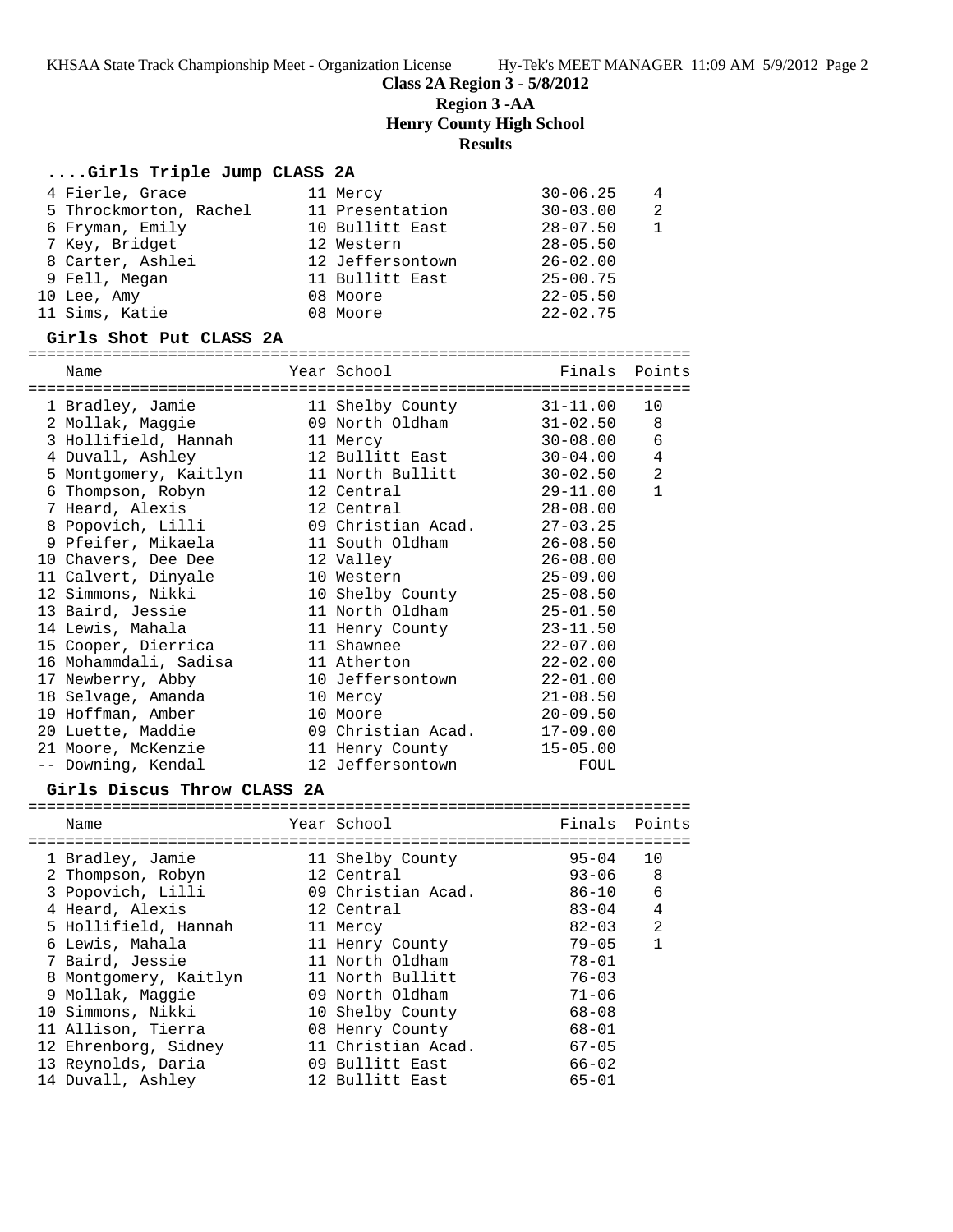**Class 2A Region 3 - 5/8/2012**

**Region 3 -AA**

**Henry County High School**

## **Results**

## **....Girls Triple Jump CLASS 2A**

| 4 Fierle, Grace        | 11 Mercy         | $30 - 06.25$ | $\overline{4}$ |
|------------------------|------------------|--------------|----------------|
| 5 Throckmorton, Rachel | 11 Presentation  | $30 - 03.00$ | -2             |
| 6 Fryman, Emily        | 10 Bullitt East  | $28 - 07.50$ |                |
| 7 Key, Bridget         | 12 Western       | $28 - 05.50$ |                |
| 8 Carter, Ashlei       | 12 Jeffersontown | $26 - 02.00$ |                |
| 9 Fell, Megan          | 11 Bullitt East  | $25 - 00.75$ |                |
| 10 Lee, Amy            | 08 Moore         | $22 - 05.50$ |                |
| 11 Sims, Katie         | 08 Moore         | $22 - 02.75$ |                |

#### **Girls Shot Put CLASS 2A**

=======================================================================

| Name                                             | Year School        | Finals Points |                |
|--------------------------------------------------|--------------------|---------------|----------------|
| 1 Bradley, Jamie                                 | 11 Shelby County   | $31 - 11.00$  | 10             |
| 2 Mollak, Maggie                                 | 09 North Oldham    | $31 - 02.50$  | 8              |
| 3 Hollifield, Hannah                             | 11 Mercy           | $30 - 08.00$  | $\epsilon$     |
| 4 Duvall, Ashley                                 | 12 Bullitt East    | 30-04.00      | $\overline{4}$ |
| 5 Montgomery, Kaitlyn                            | 11 North Bullitt   | $30 - 02.50$  | 2              |
| 6 Thompson, Robyn                                | 12 Central         | $29 - 11.00$  | $\mathbf{1}$   |
| 7 Heard, Alexis                       12 Central |                    | $28 - 08.00$  |                |
| 8 Popovich, Lilli                                | 09 Christian Acad. | $27 - 03.25$  |                |
| 9 Pfeifer, Mikaela                               | 11 South Oldham    | $26 - 08.50$  |                |
| 10 Chavers, Dee Dee                              | 12 Valley          | $26 - 08.00$  |                |
| 11 Calvert, Dinyale                              | 10 Western         | $25 - 09.00$  |                |
| 12 Simmons, Nikki                                | 10 Shelby County   | $25 - 08.50$  |                |
| 13 Baird, Jessie                                 | 11 North Oldham    | $25 - 01.50$  |                |
| 14 Lewis, Mahala                                 | 11 Henry County    | $23 - 11.50$  |                |
| 15 Cooper, Dierrica                              | 11 Shawnee         | $22 - 07.00$  |                |
| 16 Mohammdali, Sadisa                            | 11 Atherton        | $22 - 02.00$  |                |
| 17 Newberry, Abby                                | 10 Jeffersontown   | $22 - 01.00$  |                |
| 18 Selvage, Amanda                               | 10 Mercy           | $21 - 08.50$  |                |
| 19 Hoffman, Amber                                | 10 Moore           | $20 - 09.50$  |                |
| 20 Luette, Maddie                                | 09 Christian Acad. | $17 - 09.00$  |                |
| 21 Moore, McKenzie                               | 11 Henry County    | $15 - 05.00$  |                |
| -- Downing, Kendal                               | 12 Jeffersontown   | FOUL          |                |

#### **Girls Discus Throw CLASS 2A**

| Name                  | Year School        | Finals    | Points |
|-----------------------|--------------------|-----------|--------|
| 1 Bradley, Jamie      | 11 Shelby County   | $95 - 04$ | 10     |
| 2 Thompson, Robyn     | 12 Central         | $93 - 06$ | 8      |
| 3 Popovich, Lilli     | 09 Christian Acad. | 86-10     | 6      |
| 4 Heard, Alexis       | 12 Central         | $83 - 04$ | 4      |
| 5 Hollifield, Hannah  | 11 Mercy           | $82 - 03$ | 2      |
| 6 Lewis, Mahala       | 11 Henry County    | $79 - 05$ | 1      |
| 7 Baird, Jessie       | 11 North Oldham    | $78 - 01$ |        |
| 8 Montgomery, Kaitlyn | 11 North Bullitt   | $76 - 03$ |        |
| 9 Mollak, Maggie      | 09 North Oldham    | $71 - 06$ |        |
| 10 Simmons, Nikki     | 10 Shelby County   | $68 - 08$ |        |
| 11 Allison, Tierra    | 08 Henry County    | $68 - 01$ |        |
| 12 Ehrenborg, Sidney  | 11 Christian Acad. | $67 - 05$ |        |
| 13 Reynolds, Daria    | 09 Bullitt East    | $66 - 02$ |        |
| 14 Duvall, Ashley     | 12 Bullitt East    | $65 - 01$ |        |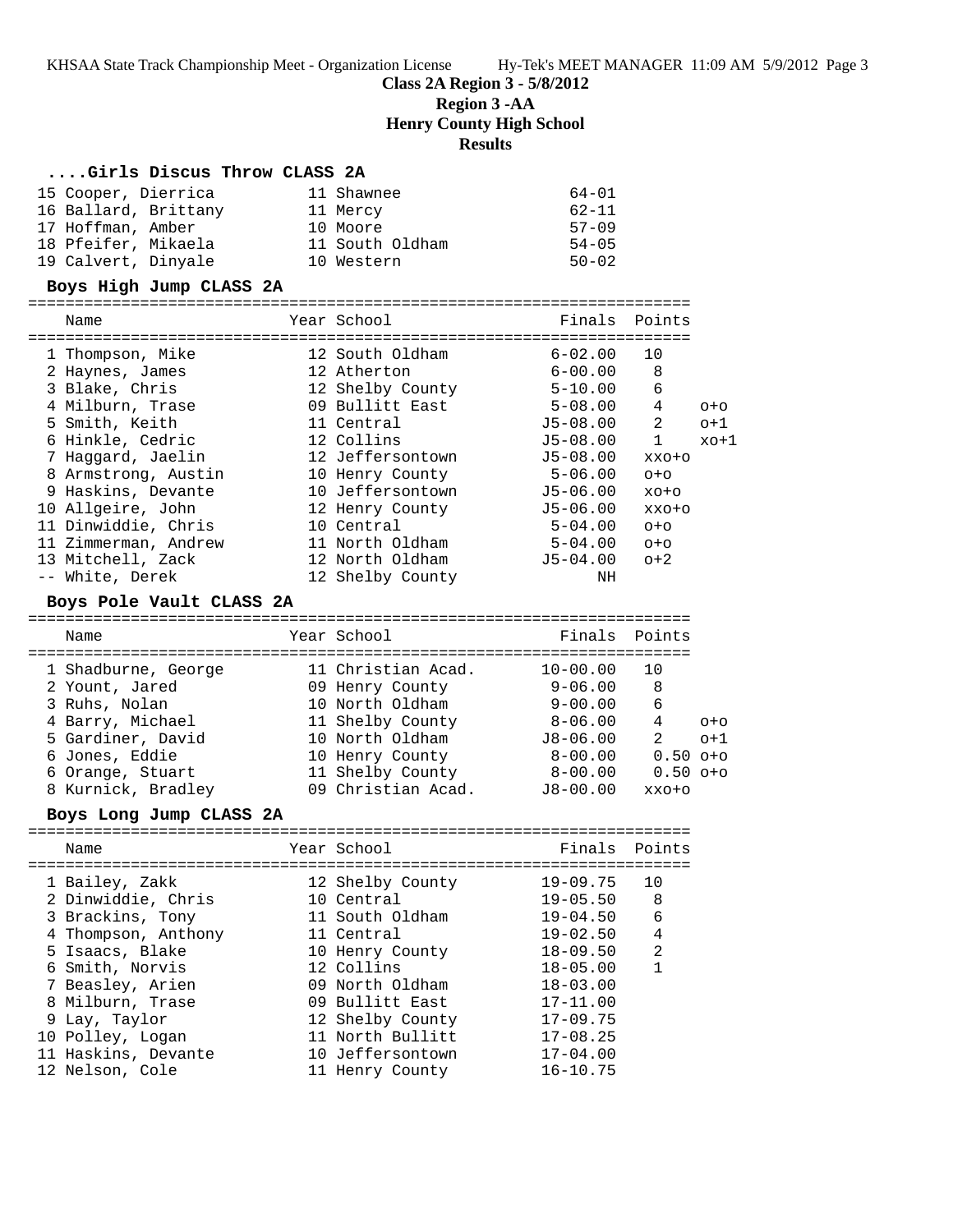#### **Class 2A Region 3 - 5/8/2012**

**Region 3 -AA**

**Henry County High School**

**Results**

#### **....Girls Discus Throw CLASS 2A**

| 15 Cooper, Dierrica  | 11 Shawnee      | 64-01     |
|----------------------|-----------------|-----------|
| 16 Ballard, Brittany | 11 Mercy        | $62 - 11$ |
| 17 Hoffman, Amber    | 10 Moore        | $57 - 09$ |
| 18 Pfeifer, Mikaela  | 11 South Oldham | $54 - 05$ |
| 19 Calvert, Dinyale  | 10 Western      | $50 - 02$ |

#### **Boys High Jump CLASS 2A**

| Name                 | Year School      | Finals       | Points  |         |
|----------------------|------------------|--------------|---------|---------|
|                      |                  |              |         |         |
| 1 Thompson, Mike     | 12 South Oldham  | $6 - 02.00$  | 10      |         |
| 2 Haynes, James      | 12 Atherton      | $6 - 00.00$  | 8       |         |
| 3 Blake, Chris       | 12 Shelby County | $5 - 10.00$  | 6       |         |
| 4 Milburn, Trase     | 09 Bullitt East  | $5 - 08.00$  | 4       | $O + O$ |
| 5 Smith, Keith       | 11 Central       | $J5 - 08.00$ | 2       | $o+1$   |
| 6 Hinkle, Cedric     | 12 Collins       | $J5-08.00$   | 1       | $xo+1$  |
| 7 Haqqard, Jaelin    | 12 Jeffersontown | $J5 - 08.00$ | XXO+O   |         |
| 8 Armstrong, Austin  | 10 Henry County  | $5 - 06.00$  | $O + O$ |         |
| 9 Haskins, Devante   | 10 Jeffersontown | $J5-06.00$   | $XO+O$  |         |
| 10 Allgeire, John    | 12 Henry County  | J5-06.00     | XXO+O   |         |
| 11 Dinwiddie, Chris  | 10 Central       | $5 - 04.00$  | $O + O$ |         |
| 11 Zimmerman, Andrew | 11 North Oldham  | $5 - 04.00$  | $O + O$ |         |
| 13 Mitchell, Zack    | 12 North Oldham  | J5-04.00     | $O+2$   |         |
| -- White, Derek      | 12 Shelby County | ΝH           |         |         |

#### **Boys Pole Vault CLASS 2A**

======================================================================= Name Tear School Tear School Finals Points ======================================================================= 1 Shadburne, George 11 Christian Acad. 10-00.00 10 2 Yount, Jared 09 Henry County 9-06.00 8 3 Ruhs, Nolan 10 North Oldham 9-00.00 6 4 Barry, Michael 11 Shelby County 8-06.00 4 o+o 5 Gardiner, David 10 North Oldham J8-06.00 2 o+1 6 Jones, Eddie 10 Henry County 8-00.00 0.50 o+o 6 Orange, Stuart 11 Shelby County 8-00.00 0.50 o+o 8 Kurnick, Bradley 09 Christian Acad. J8-00.00 xxo+o

#### **Boys Long Jump CLASS 2A**

| Name                                                                                                                                                                           | Year School                                                                                                                                                | Finals Points                                                                                                                        |                                                   |
|--------------------------------------------------------------------------------------------------------------------------------------------------------------------------------|------------------------------------------------------------------------------------------------------------------------------------------------------------|--------------------------------------------------------------------------------------------------------------------------------------|---------------------------------------------------|
| 1 Bailey, Zakk<br>2 Dinwiddie, Chris<br>3 Brackins, Tony<br>4 Thompson, Anthony<br>5 Isaacs, Blake<br>6 Smith, Norvis<br>7 Beasley, Arien<br>8 Milburn, Trase<br>9 Lay, Taylor | 12 Shelby County<br>10 Central<br>11 South Oldham<br>11 Central<br>10 Henry County<br>12 Collins<br>09 North Oldham<br>09 Bullitt East<br>12 Shelby County | 19-09.75<br>19-05.50<br>$19 - 04.50$<br>$19 - 02.50$<br>$18 - 09.50$<br>$18 - 05.00$<br>$18 - 03.00$<br>$17 - 11.00$<br>$17 - 09.75$ | 10<br>-8<br>6<br>$\overline{4}$<br>$\mathfrak{D}$ |
| 10 Polley, Logan<br>11 Haskins, Devante<br>12 Nelson, Cole                                                                                                                     | 11 North Bullitt<br>10 Jeffersontown<br>11 Henry County                                                                                                    | $17 - 08.25$<br>$17 - 04.00$<br>$16 - 10.75$                                                                                         |                                                   |
|                                                                                                                                                                                |                                                                                                                                                            |                                                                                                                                      |                                                   |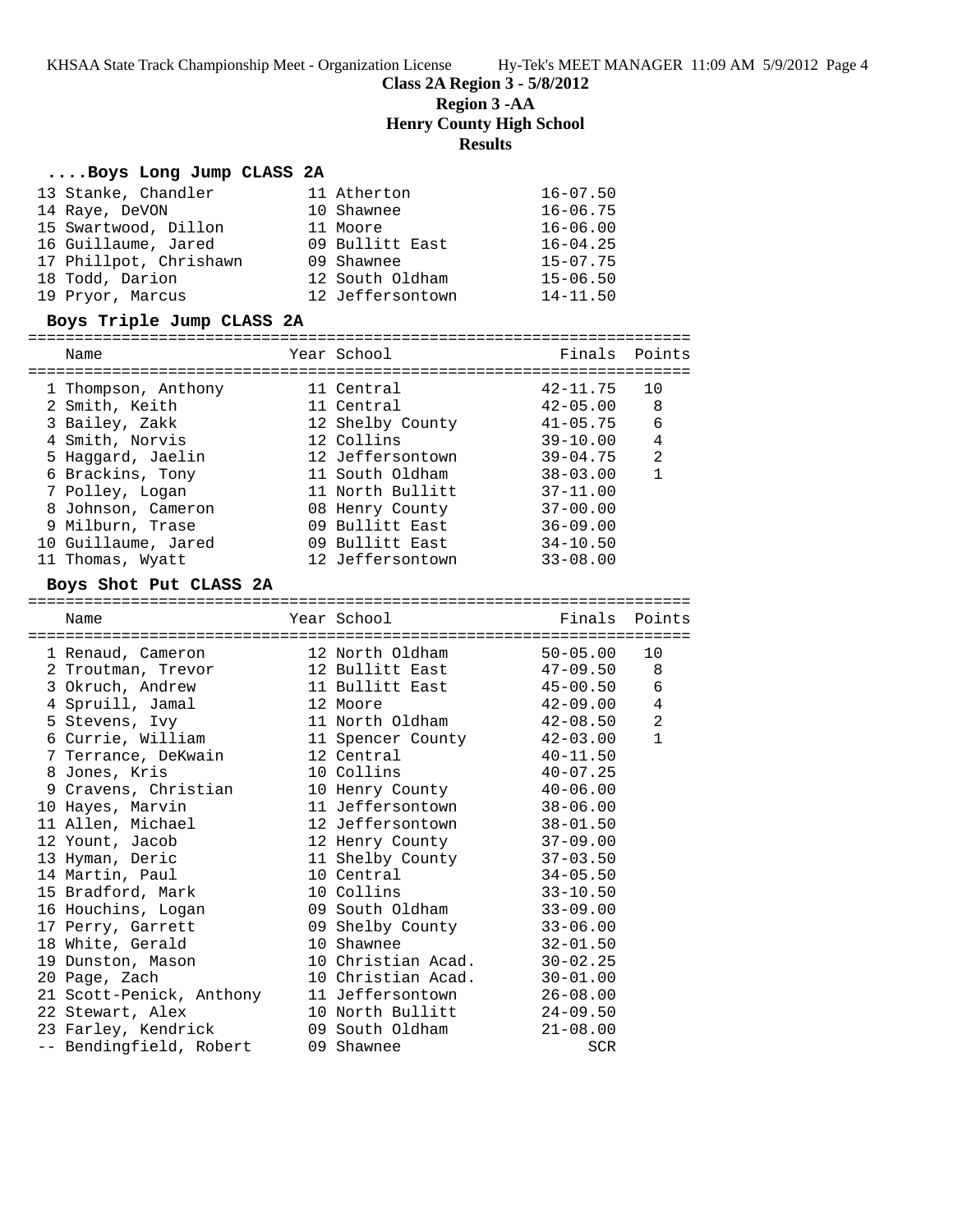**Class 2A Region 3 - 5/8/2012**

**Region 3 -AA**

**Henry County High School**

# **Results**

## **....Boys Long Jump CLASS 2A**

| 13 Stanke, Chandler                     | 11 Atherton                              | $16 - 07.50$                 |                   |
|-----------------------------------------|------------------------------------------|------------------------------|-------------------|
| 14 Raye, DeVON                          | 10 Shawnee                               | $16 - 06.75$                 |                   |
| 15 Swartwood, Dillon                    | 11 Moore                                 | $16 - 06.00$                 |                   |
| 16 Guillaume, Jared                     | 09 Bullitt East                          | $16 - 04.25$                 |                   |
| 17 Phillpot, Chrishawn                  | 09 Shawnee                               | $15 - 07.75$                 |                   |
| 18 Todd, Darion                         | 12 South Oldham                          | $15 - 06.50$                 |                   |
| 19 Pryor, Marcus                        | 12 Jeffersontown                         | $14 - 11.50$                 |                   |
| Boys Triple Jump CLASS 2A               |                                          |                              |                   |
| Name                                    | Year School                              | Finals                       | Points            |
|                                         |                                          |                              |                   |
| 1 Thompson, Anthony                     | 11 Central                               | $42 - 11.75$                 | 10                |
| 2 Smith, Keith                          | 11 Central                               | $42 - 05.00$                 | 8                 |
| 3 Bailey, Zakk                          | 12 Shelby County                         | 41-05.75                     | 6                 |
| 4 Smith, Norvis                         | 12 Collins                               | $39 - 10.00$                 | $\overline{4}$    |
| 5 Haggard, Jaelin                       | 12 Jeffersontown                         | 39-04.75                     | 2                 |
| 6 Brackins, Tony                        | 11 South Oldham                          | $38 - 03.00$                 | $\mathbf{1}$      |
| 7 Polley, Logan                         | 11 North Bullitt                         | $37 - 11.00$                 |                   |
| 8 Johnson, Cameron                      | 08 Henry County                          | $37 - 00.00$                 |                   |
| 9 Milburn, Trase                        | 09 Bullitt East                          | $36 - 09.00$                 |                   |
| 10 Guillaume, Jared                     | 09 Bullitt East                          | $34 - 10.50$                 |                   |
| 11 Thomas, Wyatt                        | 12 Jeffersontown                         | $33 - 08.00$                 |                   |
| Boys Shot Put CLASS 2A                  |                                          |                              |                   |
| Name                                    | Year School                              | Finals                       | Points            |
|                                         |                                          |                              |                   |
| 1 Renaud, Cameron                       | 12 North Oldham                          | $50 - 05.00$                 | 10                |
| 2 Troutman, Trevor                      | 12 Bullitt East                          | 47-09.50                     | 8                 |
| 3 Okruch, Andrew                        | 11 Bullitt East                          | $45 - 00.50$                 | 6                 |
| 4 Spruill, Jamal                        | 12 Moore                                 | $42 - 09.00$                 | 4                 |
| 5 Stevens, Ivy                          | 11 North Oldham                          | $42 - 08.50$                 | 2<br>$\mathbf{1}$ |
| 6 Currie, William                       | 11 Spencer County                        | $42 - 03.00$                 |                   |
| 7 Terrance, DeKwain<br>8 Jones, Kris    | 12 Central<br>10 Collins                 | $40 - 11.50$                 |                   |
|                                         |                                          | $40 - 07.25$                 |                   |
| 9 Cravens, Christian                    | 10 Henry County<br>11 Jeffersontown      | $40 - 06.00$                 |                   |
| 10 Hayes, Marvin<br>11 Allen, Michael   | 12 Jeffersontown                         | $38 - 06.00$<br>$38 - 01.50$ |                   |
|                                         |                                          | $37 - 09.00$                 |                   |
| 12 Yount, Jacob                         | 12 Henry County                          |                              |                   |
| 13 Hyman, Deric<br>14 Martin, Paul      | 11 Shelby County<br>10 Central           | $37 - 03.50$<br>$34 - 05.50$ |                   |
| 15 Bradford, Mark                       | 10 Collins                               | $33 - 10.50$                 |                   |
| 16 Houchins, Logan                      | 09 South Oldham                          | $33 - 09.00$                 |                   |
|                                         |                                          | $33 - 06.00$                 |                   |
| 17 Perry, Garrett<br>18 White, Gerald   | 09 Shelby County<br>10 Shawnee           |                              |                   |
|                                         |                                          | $32 - 01.50$                 |                   |
| 19 Dunston, Mason                       | 10 Christian Acad.<br>10 Christian Acad. | $30 - 02.25$                 |                   |
| 20 Page, Zach                           |                                          | $30 - 01.00$                 |                   |
| 21 Scott-Penick, Anthony                | 11 Jeffersontown<br>10 North Bullitt     | $26 - 08.00$                 |                   |
| 22 Stewart, Alex<br>23 Farley, Kendrick | 09 South Oldham                          | $24 - 09.50$                 |                   |
| -- Bendingfield, Robert                 | 09 Shawnee                               | $21 - 08.00$<br>SCR          |                   |
|                                         |                                          |                              |                   |